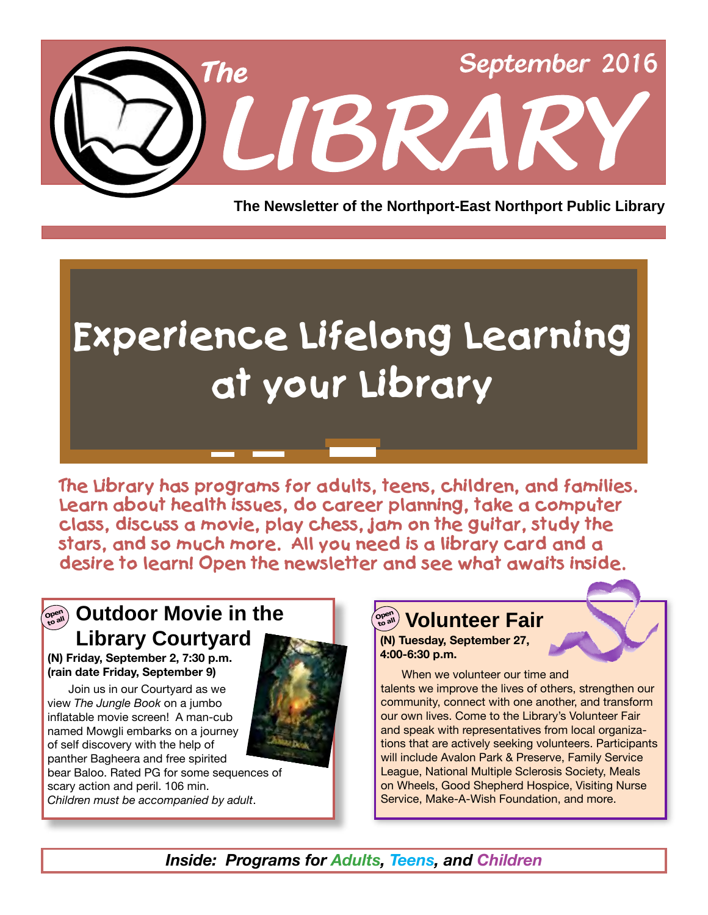

**The Newsletter of the Northport-East Northport Public Library**

# **Experience Lifelong Learning at your Library**

**The Library has programs for adults, teens, children, and families. Learn about health issues, do career planning, take a computer class, discuss a movie, play chess, jam on the guitar, study the stars, and so much more. All you need is a library card and a desire to learn! Open the newsletter and see what awaits inside.**

### **Volunteer Fair Consultance Contract Consultance Consultance Contract Consultance Consultance Consultance Consultance Consultance Consultance Consultance Consultance Consultance Consultance Consultance Consultance Consul Library Courtyard**

**(N) Friday, September 2, 7:30 p.m. (rain date Friday, September 9)**

Join us in our Courtyard as we view *The Jungle Book* on a jumbo inflatable movie screen! A man-cub named Mowgli embarks on a journey of self discovery with the help of panther Bagheera and free spirited



bear Baloo. Rated PG for some sequences of scary action and peril. 106 min. *Children must be accompanied by adult*.

### **Ope<sup>n</sup> to all**

**(N) Tuesday, September 27, 4:00-6:30 p.m.**

When we volunteer our time and talents we improve the lives of others, strengthen our community, connect with one another, and transform our own lives. Come to the Library's Volunteer Fair and speak with representatives from local organizations that are actively seeking volunteers. Participants will include Avalon Park & Preserve, Family Service League, National Multiple Sclerosis Society, Meals on Wheels, Good Shepherd Hospice, Visiting Nurse Service, Make-A-Wish Foundation, and more.

*Inside: Programs for Adults, Teens, and Children*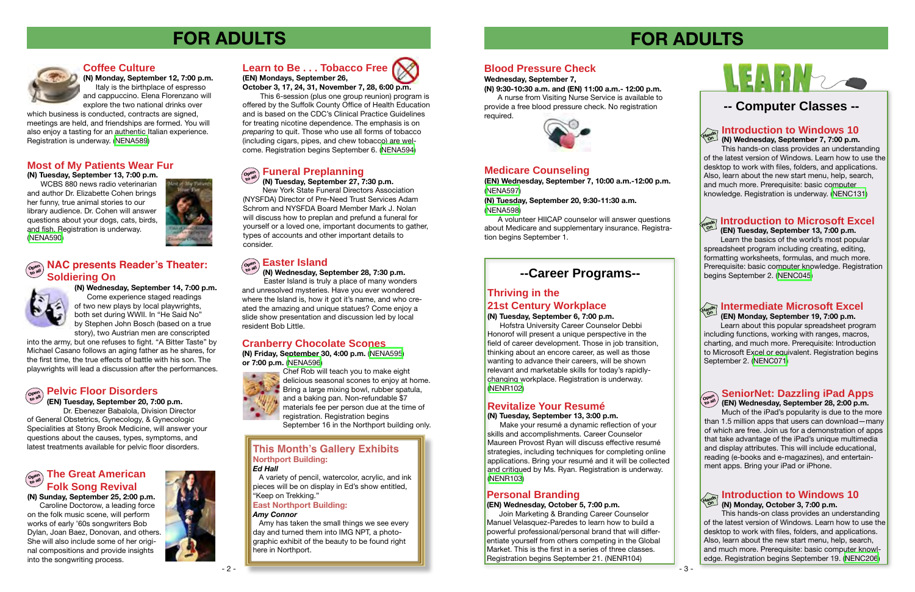#### **Blood Pressure Check**

#### **Wednesday, September 7,**

**(N) 9:30-10:30 a.m. and (EN) 11:00 a.m.- 12:00 p.m.** A nurse from Visiting Nurse Service is available to provide a free blood pressure check. No registration required.



#### **Introduction to Microsoft Excel Hands On (EN) Tuesday, September 13, 7:00 p.m.**

 Learn the basics of the world's most popular spreadsheet program including creating, editing, formatting worksheets, formulas, and much more. Prerequisite: basic computer knowledge. Registration begins September 2. [\(NENC045\)](http://alpha1.suffolk.lib.ny.us/record%3Dg1005372~S43)



**(EN) Monday, September 19, 7:00 p.m.**

 Learn about this popular spreadsheet program including functions, working with ranges, macros, charting, and much more. Prerequisite: Introduction to Microsoft Excel or equivalent. Registration begins September 2. ([NENC071](http://alpha1.suffolk.lib.ny.us/record%3Dg1012227~S43))

### **SeniorNet: Dazzling iPad Apps**

**(EN) Wednesday, September 28, 2:00 p.m.**

Much of the iPad's popularity is due to the more than 1.5 million apps that users can download—many of which are free. Join us for a demonstration of apps that take advantage of the iPad's unique multimedia and display attributes. This will include educational, reading (e-books and e-magazines), and entertainment apps. Bring your iPad or iPhone.



#### **Introduction to Windows 10 Hands**

**(N) Wednesday, September 7, 7:00 p.m.** This hands-on class provides an understanding of the latest version of Windows. Learn how to use the desktop to work with files, folders, and applications. Also, learn about the new start menu, help, search, and much more. Prerequisite: basic computer knowledge. Registration is underway. [\(NENC131\)](http://alpha1.suffolk.lib.ny.us/record%3Dg1040832~S43) **On**

### **-- Computer Classes --**

#### **Introduction to Windows 10 (N) Monday, October 3, 7:00 p.m. Hands On**

This hands-on class provides an understanding of the latest version of Windows. Learn how to use the desktop to work with files, folders, and applications. Also, learn about the new start menu, help, search, and much more. Prerequisite: basic computer knowledge. Registration begins September 19. [\(NENC206\)](http://alpha1.suffolk.lib.ny.us/record%3Dg1066488~S43)

# **FOR ADULTS**

# LEARN

#### **Thriving in the 21st Century Workplace**

**(N) Tuesday, September 6, 7:00 p.m.** 

 Hofstra University Career Counselor Debbi Honorof will present a unique perspective in the field of career development. Those in job transition, thinking about an encore career, as well as those wanting to advance their careers, will be shown relevant and marketable skills for today's rapidlychanging workplace. Registration is underway. ([NENR102\)](http://alpha1.suffolk.lib.ny.us/record%3Dg1065693~S43)

### **Revitalize Your Resumé**

**(N) Tuesday, September 13, 3:00 p.m.** 

Make your resumé a dynamic reflection of your skills and accomplishments. Career Counselor Maureen Provost Ryan will discuss effective resumé strategies, including techniques for completing online applications. Bring your resumé and it will be collected and critiqued by Ms. Ryan. Registration is underway. ([NENR103\)](http://alpha1.suffolk.lib.ny.us/record%3Dg1065694~S43)

## **--Career Programs--**

#### **Personal Branding**

#### **(EN) Wednesday, October 5, 7:00 p.m.**

 Join Marketing & Branding Career Counselor Manuel Velasquez-Paredes to learn how to build a powerful professional/personal brand that will differentiate yourself from others competing in the Global Market. This is the first in a series of three classes. Registration begins September 21. (NENR104)

#### **Learn to Be . . . Tobacco Free (EN) Mondays, September 26,**

**October 3, 17, 24, 31, November 7, 28, 6:00 p.m.** 

 This 6-session (plus one group reunion) program is offered by the Suffolk County Office of Health Education and is based on the CDC's Clinical Practice Guidelines for treating nicotine dependence. The emphasis is on *preparing* to quit. Those who use all forms of tobacco (including cigars, pipes, and chew tobacco) are welcome. Registration begins September 6. [\(NENA594\)](http://alpha1.suffolk.lib.ny.us/record%3Dg1065828~S43)

**(N) Wednesday, September 14, 7:00 p.m.**

### **Intermediate Microsoft Excel Hands On**

Come experience staged readings of two new plays by local playwrights, both set during WWII. In "He Said No" by Stephen John Bosch (based on a true story), two Austrian men are conscripted

into the army, but one refuses to fight. "A Bitter Taste" by Michael Casano follows an aging father as he shares, for the first time, the true effects of battle with his son. The playwrights will lead a discussion after the performances.

#### **Ope<sup>n</sup> to all Pelvic Floor Disorders**

**(EN) Tuesday, September 20, 7:00 p.m.**  Dr. Ebenezer Babalola, Division Director of General Obstetrics, Gynecology, & Gynecologic Specialities at Stony Brook Medicine, will answer your questions about the causes, types, symptoms, and latest treatments available for pelvic floor disorders.

#### **Coffee Culture**

**(N) Monday, September 12, 7:00 p.m.**  Italy is the birthplace of espresso and cappuccino. Elena Florenzano will explore the two national drinks over

which business is conducted, contracts are signed, meetings are held, and friendships are formed. You will also enjoy a tasting for an authentic Italian experience. Registration is underway. ([NENA589\)](http://alpha1.suffolk.lib.ny.us/record%3Dg1065397~S43)

#### **Most of My Patients Wear Fur**

**(N) Tuesday, September 13, 7:00 p.m.** 

WCBS 880 news radio veterinarian and author Dr. Elizabette Cohen brings her funny, true animal stories to our library audience. Dr. Cohen will answer questions about your dogs, cats, birds, and fish. Registration is underway. ([NENA590\)](http://alpha1.suffolk.lib.ny.us/record%3Dg1065398~S43)



#### **Ope<sup>n</sup> to all The Great American Folk Song Revival**

 **(N) Wednesday, September 28, 7:30 p.m.** 

#### **Easter Island Ope<sup>n</sup> to all**

 Easter Island is truly a place of many wonders and unresolved mysteries. Have you ever wondered where the Island is, how it got it's name, and who created the amazing and unique statues? Come enjoy a slide show presentation and discussion led by local resident Bob Little.

#### **Funeral Preplanning Ope<sup>n</sup> to all**

**(N) Tuesday, September 27, 7:30 p.m.**  New York State Funeral Directors Association (NYSFDA) Director of Pre-Need Trust Services Adam Schrom and NYSFDA Board Member Mark J. Nolan will discuss how to preplan and prefund a funeral for yourself or a loved one, important documents to gather, types of accounts and other important details to consider.

**(N) Sunday, September 25, 2:00 p.m.** 

Caroline Doctorow, a leading force on the folk music scene, will perform works of early '60s songwriters Bob Dylan, Joan Baez, Donovan, and others. She will also include some of her original compositions and provide insights into the songwriting process.



# **FOR ADULTS**



#### **Cranberry Chocolate Scones**

**(N) Friday, September 30, 4:00 p.m.** ([NENA595](http://alpha1.suffolk.lib.ny.us/record%3Dg1065846~S43)) **or 7:00 p.m.** [\(NENA596\)](http://alpha1.suffolk.lib.ny.us/record%3Dg1065847~S43)



Chef Rob will teach you to make eight delicious seasonal scones to enjoy at home. Bring a large mixing bowl, rubber spatula, and a baking pan. Non-refundable \$7 materials fee per person due at the time of registration. Registration begins

September 16 in the Northport building only.

#### **Medicare Counseling**

**(EN) Wednesday, September 7, 10:00 a.m.-12:00 p.m.**  ([NENA597](http://alpha1.suffolk.lib.ny.us/record%3Dg1066015~S43))

**(N) Tuesday, September 20, 9:30-11:30 a.m.**  ([NENA598](http://alpha1.suffolk.lib.ny.us/record%3Dg1066027~S43))

A volunteer HIICAP counselor will answer questions about Medicare and supplementary insurance. Registration begins September 1.



#### **This Month's Gallery Exhibits Northport Building:** *Ed Hall*

 A variety of pencil, watercolor, acrylic, and ink pieces will be on display in Ed's show entitled, "Keep on Trekking."

#### **Ope<sup>n</sup> to all NAC presents Reader's Theater: Soldiering On**



#### **East Northport Building:**

#### *Amy Connor*

 Amy has taken the small things we see every day and turned them into IMG NPT, a photographic exhibit of the beauty to be found right here in Northport.

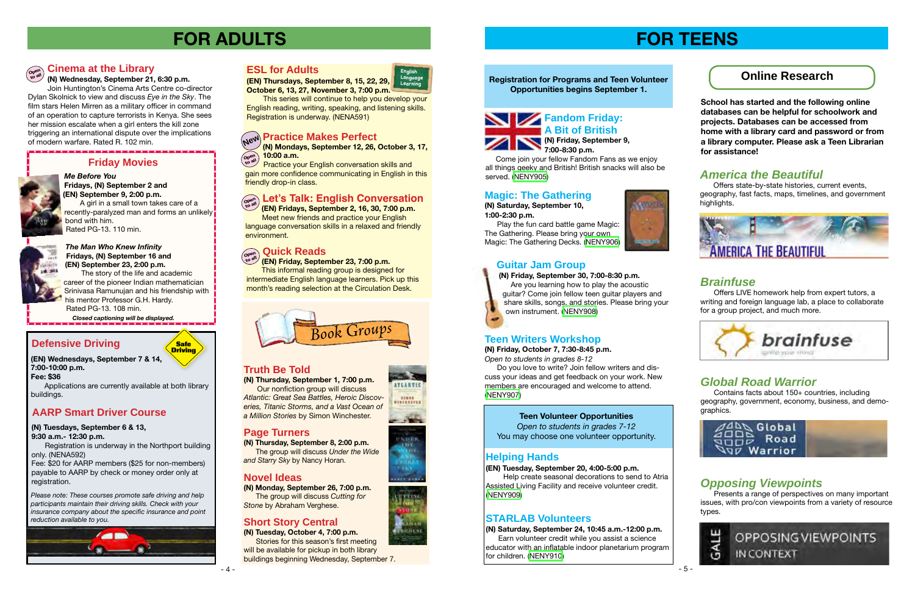### **Online Research**



 Come join your fellow Fandom Fans as we enjoy all things geeky and British! British snacks will also be served. ([NENY905](http://alpha1.suffolk.lib.ny.us/record%3Dg1066002~S43))

#### **Magic: The Gathering**

**(N) Saturday, September 10, 1:00-2:30 p.m.**



The Gathering. Please bring your own

#### **Registration for Programs and Teen Volunteer Opportunities begins September 1.**

### **Guitar Jam Group**

Offers state-by-state histories, current events, geography, fast facts, maps, timelines, and government highlights.



#### **(N) Friday, September 30, 7:00-8:30 p.m.**

 Are you learning how to play the acoustic guitar? Come join fellow teen guitar players and share skills, songs, and stories. Please bring your own instrument. ([NENY908](http://alpha1.suffolk.lib.ny.us/record%3Dg1066011~S43))

# **FOR TEENS**

**School has started and the following online databases can be helpful for schoolwork and projects. Databases can be accessed from home with a library card and password or from a library computer. Please ask a Teen Librarian for assistance!**

### *America the Beautiful*

Fee: \$20 for AARP members (\$25 for non-members) payable to AARP by check or money order only at registration.

### *Brainfuse*

Offers LIVE homework help from expert tutors, a writing and foreign language lab, a place to collaborate for a group project, and much more.



### *Global Road Warrior*

**(N) Thursday, September 1, 7:00 p.m.** Our nonfiction group will discuss *Atlantic: Great Sea Battles, Heroic Discoveries, Titanic Storms, and a Vast Ocean of*  **AARP Smart Driver Course The Structure of the State of Texas and Access of the State of the State of Teen Volunteer Opportunities** 

Contains facts about 150+ countries, including geography, government, economy, business, and demographics.



### *Opposing Viewpoints*

Presents a range of perspectives on many important issues, with pro/con viewpoints from a variety of resource types.



### **Defensive Driving**

*Please note: These courses promote safe driving and help participants maintain their driving skills. Check with your insurance company about the specific insurance and point reduction available to you.*



**(EN) Wednesdays, September 7 & 14, 7:00-10:00 p.m.**

**Fee: \$36**

Applications are currently available at both library buildings.

**Safe Driving**

**(N) Tuesdays, September 6 & 13, 9:30 a.m.- 12:30 p.m.**

Registration is underway in the Northport building only. (NENA592)

### **Cinema at the Library**

 The story of the life and academic career of the pioneer Indian mathematician Srinivasa Ramunujan and his friendship with his mentor Professor G.H. Hardy. Rated PG-13. 108 min.

**(N) Wednesday, September 21, 6:30 p.m.**  Join Huntington's Cinema Arts Centre co-director Dylan Skolnick to view and discuss *Eye in the Sky*. The film stars Helen Mirren as a military officer in command of an operation to capture terrorists in Kenya. She sees her mission escalate when a girl enters the kill zone triggering an international dispute over the implications of modern warfare. Rated R. 102 min.

# **FOR ADULTS**

#### **Truth Be Told**

#### **Page Turners**

**(N) Thursday, September 8, 2:00 p.m.** The group will discuss *Under the Wide and Starry Sky* by Nancy Horan.

#### **Novel Ideas**

**(N) Monday, September 26, 7:00 p.m.** The group will discuss *Cutting for Stone* by Abraham Verghese.

### **Short Story Central**

**(N) Tuesday, October 4, 7:00 p.m.** Stories for this season's first meeting will be available for pickup in both library buildings beginning Wednesday, September 7.





#### **ESL for Adults**

**Learning (EN) Thursdays, September 8, 15, 22, 29, October 6, 13, 27, November 3, 7:00 p.m.**

 This series will continue to help you develop your English reading, writing, speaking, and listening skills. Registration is underway. (NENA591)

## **Practice Makes Perfect New**

 Practice your English conversation skills and gain more confidence communicating in English in this friendly drop-in class.

#### **Quick Reads Ope<sup>n</sup>**

 **(EN) Friday, September 23, 7:00 p.m.** This informal reading group is designed for intermediate English language learners. Pick up this month's reading selection at the Circulation Desk. **to all**

 **(EN) Fridays, September 2, 16, 30, 7:00 p.m.** Meet new friends and practice your English language conversation skills in a relaxed and friendly environment.

#### *Me Before You*  **Fridays, (N) September 2 and**

**(N) Mondays, September 12, 26, October 3, 17, 10:00 a.m. Ope<sup>n</sup> to all**

**(EN) September 9, 2:00 p.m.**  A girl in a small town takes care of a recently-paralyzed man and forms an unlikely bond with him. Rated PG-13. 110 min.



### **Let's Talk: English Conversation Ope<sup>n</sup> to all**

#### *The Man Who Knew Infinity*  **Fridays, (N) September 16 and (EN) September 23, 2:00 p.m.**

 *Closed captioning will be displayed.*

### **Friday Movies**



#### **Teen Writers Workshop**

**(N) Friday, October 7, 7:30-8:45 p.m.** *Open to students in grades 8-12*

 Do you love to write? Join fellow writers and discuss your ideas and get feedback on your work. New members are encouraged and welcome to attend. ([NENY907\)](http://alpha1.suffolk.lib.ny.us/record%3Dg1066010~S43)

*Open to students in grades 7-12* You may choose one volunteer opportunity.

#### **Helping Hands**

**(EN) Tuesday, September 20, 4:00-5:00 p.m.**

 Help create seasonal decorations to send to Atria Assisted Living Facility and receive volunteer credit. [\(NENY909](http://alpha1.suffolk.lib.ny.us/record%3Dg1066005~S43))

#### **STARLAB Volunteers**

**(N) Saturday, September 24, 10:45 a.m.-12:00 p.m.** Earn volunteer credit while you assist a science educator with an inflatable indoor planetarium program for children. [\(NENY910\)](http://alpha1.suffolk.lib.ny.us/record%3Dg1066009~S43)



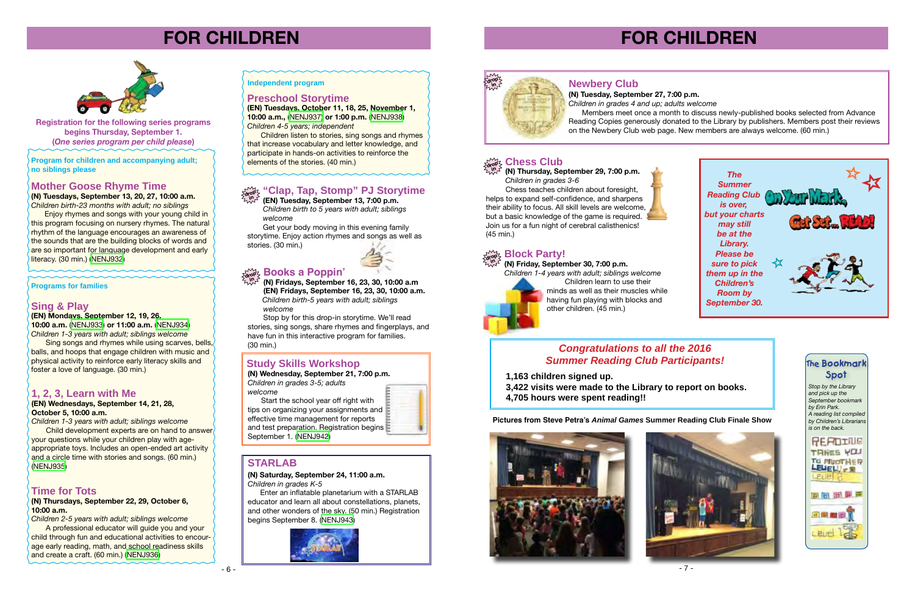





# **FOR CHILDREN**

**Registration for the following series programs begins Thursday, September 1. (***One series program per child please***)**

#### **Sing & Play**

**(EN) Mondays, September 12, 19, 26,** 

**10:00 a.m.** [\(NENJ933\)](http://alpha1.suffolk.lib.ny.us/record%3Dg1066443~S43) **or 11:00 a.m.** [\(NENJ934\)](http://alpha1.suffolk.lib.ny.us/record%3Dg1066445~S43) *Children 1-3 years with adult; siblings welcome*

 Sing songs and rhymes while using scarves, bells, balls, and hoops that engage children with music and physical activity to reinforce early literacy skills and foster a love of language. (30 min.)

### **1, 2, 3, Learn with Me**

#### **(EN) Wednesdays, September 14, 21, 28, October 5, 10:00 a.m.**

*Children 1-3 years with adult; siblings welcome* Child development experts are on hand to answer your questions while your children play with ageappropriate toys. Includes an open-ended art activity and a circle time with stories and songs. (60 min.) ([NENJ935](http://alpha1.suffolk.lib.ny.us/record%3Dg1066463~S43))

#### **Time for Tots**

**(N) Thursdays, September 22, 29, October 6, 10:00 a.m.**

*Children 2-5 years with adult; siblings welcome*

 A professional educator will guide you and your child through fun and educational activities to encourage early reading, math, and school readiness skills and create a craft. (60 min.) ([NENJ936\)](http://alpha1.suffolk.lib.ny.us/record%3Dg1066469~S43)

#### **Independent program**

**Program for children and accompanying adult; no siblings please** 

#### **Programs for families**

#### **Mother Goose Rhyme Time**

**(N) Tuesdays, September 13, 20, 27, 10:00 a.m.** *Children birth-23 months with adult; no siblings*

Enjoy rhymes and songs with your young child in this program focusing on nursery rhymes. The natural rhythm of the language encourages an awareness of the sounds that are the building blocks of words and are so important for language development and early literacy. (30 min.) [\(NENJ932\)](http://alpha1.suffolk.lib.ny.us/record%3Dg1066468~S43)





**(EN) Tuesday, September 13, 7:00 p.m.** *Children birth to 5 years with adult; siblings welcome*

 Get your body moving in this evening family storytime. Enjoy action rhymes and songs as well as stories. (30 min.)



#### **"Clap, Tap, Stomp" PJ Storytime drop in**



# **FOR CHILDREN**

#### **Books a Poppin' drop**

**(N) Fridays, September 16, 23, 30, 10:00 a.m (EN) Fridays, September 16, 23, 30, 10:00 a.m.**  *Children birth-5 years with adult; siblings welcome* **in**

 Stop by for this drop-in storytime. We'll read stories, sing songs, share rhymes and fingerplays, and have fun in this interactive program for families. (30 min.)

#### **Chess Club drop**

**(N) Thursday, September 29, 7:00 p.m.** *Children in grades 3-6* **in**

 Chess teaches children about foresight, helps to expand self-confidence, and sharpens their ability to focus. All skill levels are welcome, but a basic knowledge of the game is required. Join us for a fun night of cerebral calisthenics! (45 min.)

### $\sum_{\text{dropZ}}^{\infty}$  Block Party!

#### **(N) Friday, September 30, 7:00 p.m. in**



*Children 1-4 years with adult; siblings welcome* Children learn to use their minds as well as their muscles while having fun playing with blocks and other children. (45 min.)

#### **(N) Saturday, September 24, 11:00 a.m.**

*Children in grades K-5*

 Enter an inflatable planetarium with a STARLAB educator and learn all about constellations, planets, and other wonders of the sky. (50 min.) Registration begins September 8. [\(NENJ943](http://alpha1.suffolk.lib.ny.us/record%3Dg1065059~S43))



#### **STARLAB**

### **Newbery Club**

**(N) Wednesday, September 21, 7:00 p.m.** *Children in grades 3-5; adults* 

*welcome* Start the school year off right with tips on organizing your assignments and effective time management for reports and test preparation. Registration begins September 1. [\(NENJ942\)](http://alpha1.suffolk.lib.ny.us/record%3Dg1065556~S43)

#### **Study Skills Workshop**

**(N) Tuesday, September 27, 7:00 p.m.** *Children in grades 4 and up; adults welcome*

Members meet once a month to discuss newly-published books selected from Advance Reading Copies generously donated to the Library by publishers. Members post their reviews on the Newbery Club web page. New members are always welcome. (60 min.)

#### **Preschool Storytime**

**(EN) Tuesdays, October 11, 18, 25, November 1, 10:00 a.m.,** [\(NENJ937\)](http://alpha1.suffolk.lib.ny.us/record%3Dg1066459~S43) **or 1:00 p.m.** [\(NENJ938\)](http://alpha1.suffolk.lib.ny.us/record%3Dg1066460~S43) *Children 4-5 years; independent*

Children listen to stories, sing songs and rhymes that increase vocabulary and letter knowledge, and participate in hands-on activities to reinforce the elements of the stories. (40 min.)



**Pictures from Steve Petra's** *Animal Games* **Summer Reading Club Finale Show**

#### *Congratulations to all the 2016 Summer Reading Club Participants!*

**1,163 children signed up. 3,422 visits were made to the Library to report on books. 4,705 hours were spent reading!!**